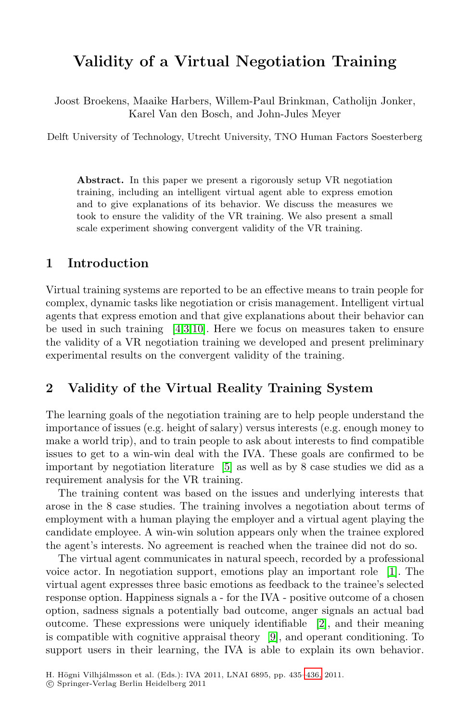# **Validity of a Virtual Negotiation Training**

Joost Broekens, Maaike Harbers, Willem-Paul Brinkman, Catholijn Jonker, Karel Van den Bosch, and John-Jules Meyer

Delft University of Technology, Utrecht University, TNO Human Factors Soesterberg

Abstract. In this paper we present a rigorously setup VR negotiation training, including an intelligent virtual agent able to express emotion and to give explanations of its behavior. We discuss the measures we took to ensure the validity of the VR training. We also present a small scale experiment showing convergent validity of the VR training.

#### **1 Introduction**

Virtual training systems are reported to be an effective means to train people for complex, dynamic tasks like negotiation or crisis management. Intelligent virtual agents that express emotion and that give explanations about their behavior can be used in such training  $[4,3,10]$  $[4,3,10]$  $[4,3,10]$ . Here we focus on measures taken to ensure the validity of a VR negotiation training we developed and present preliminary experimental results on the convergent validity of the training.

### **2 Validity of the Virtual Reality Training System**

The learning goals of the negotiation training are to help people understand the importance of issues (e.g. height of salary) versus interests (e.g. enough money to make a world trip), and to train people to ask about interests to find compatible issues to get to a win-win deal with the IVA. These goals are confirmed to be important by negotiation literature [\[5\]](#page-1-3) as well as by 8 case studies we did as a requirement analysis for the VR training.

The training content was based on the issues and underlying interests that arose in the 8 case studies. The training involves a negotiation about terms of employment with a human playing the employer and a virtual agent playing the candidate employee. A win-win solution appears only when the trainee explored the agent's interests. No agreement is reached when the trainee did not do so.

The virtual agent communicates in natural speech, recorded by a professional voice actor. In negotiation support, emotions play an important role [\[1\]](#page-1-4). The virtual agent expresses three basic emotions as feedback to the trainee's selected response option. Happiness signals a - for the IVA - positive outcome of a chosen option, sadness signals a potentially bad outcome, anger signals an actual bad outcome. These expressions were uniquely identifiable [\[2\]](#page-1-5), and their meaning is compatible with cognitive appraisal theory [\[9\]](#page-1-6), and operant conditioning. To support users in their learning, the IVA is able to explain its own behavior.

H. Högni Vilhjálmsson et al. (Eds.): IVA 2011, LNAI 6895, pp. 435[–436,](#page-1-7) 2011.